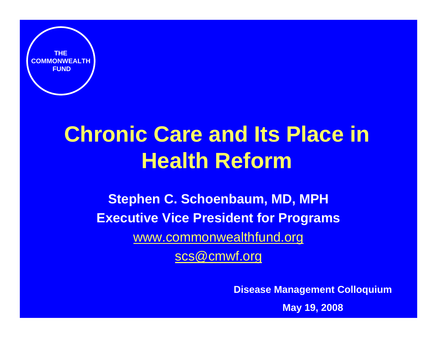

# **Chronic Care and Its Place in Health Reform**

**Stephen C. Schoenbaum, MD, MPH Executive Vice President for Programs** [www.commonwealthfund.org](http://www.commonwealthfund.org/) [scs@cmwf.org](mailto:scs@cmwf.org)

**Disease Management Colloquium**

**May 19, 2008**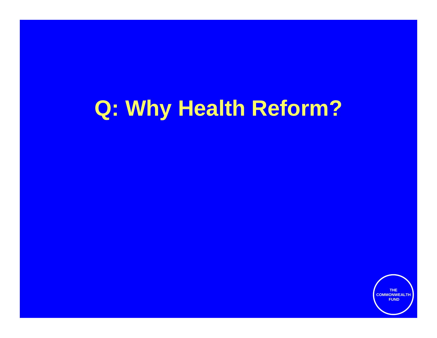# **Q: Why Health Reform?**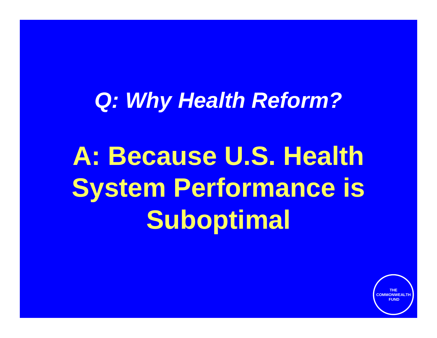# *Q: Why Health Reform?*

**A: Because U.S. Health System Performance is Suboptimal**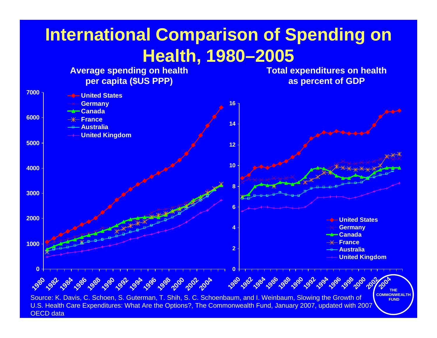## **International Comparison of Spending on Health, 1980–2005**



**4**

OECD data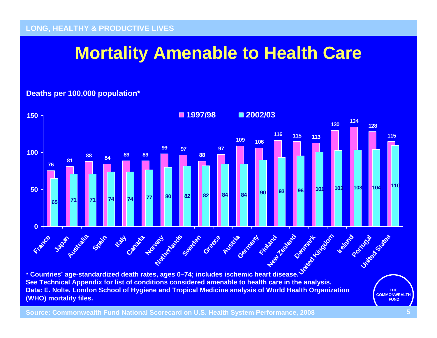## **Mortality Amenable to Health Care**

### **Deaths per 100,000 population\***



**\* Countries' age-standardized death rates, ages 0–74; includes ischemic heart disease. See Technical Appendix for list of conditions considered amenable to health care in the analysis. Data: E. Nolte, London School of Hygiene and Tropical Medicine analysis of World Health Organization (WHO) mortality files.**

**THE COMMONWEALTHFUND**

**Source: Commonwealth Fund National Scorecard on U.S. Health System Performance, 2008 5**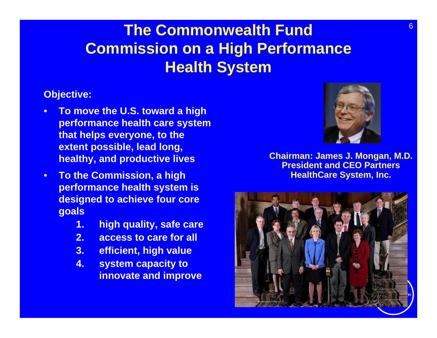## **The Commonwealth Fund Commission on a High Performance Health System**

### **Objective:**

- **To move the U.S. toward a high performance health care system that helps everyone, to the extent possible, lead long, healthy, and productive lives**
- **To the Commission, a high performance health system is designed to achieve four core goals**
	- **1. high quality, safe care**
	- **2. access to care for all**
	- **3. efficient, high value**
	- **4. system capacity to innovate and improve**



**Chairman: James J. Mongan, M.D. President and CEO Partners HealthCare System, Inc.**

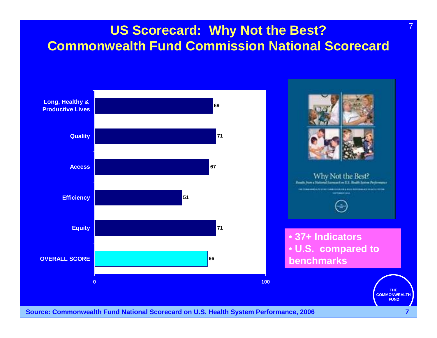### **US Scorecard: Why Not the Best? Commonwealth Fund Commission National Scorecard**



#### **Source: Commonwealth Fund National Scorecard on U.S. Health System Performance, 2006**

7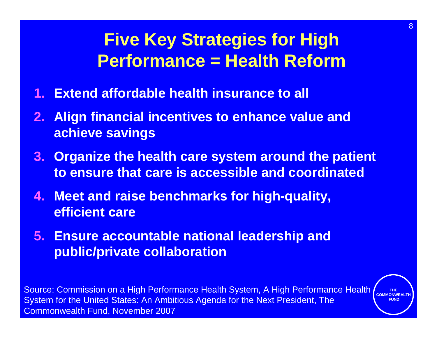## **Five Key Strategies for High Performance = Health Reform**

- **1. Extend affordable health insurance to all**
- **2. Align financial incentives to enhance value and achieve savings**
- **3. Organize the health care system around the patient to ensure that care is accessible and coordinated**
- **4. Meet and raise benchmarks for high-quality, efficient care**
- **5. Ensure accountable national leadership and public/private collaboration**

Source: Commission on a High Performance Health System, A High Performance Health System for the United States: An Ambitious Agenda for the Next President, The Commonwealth Fund, November 2007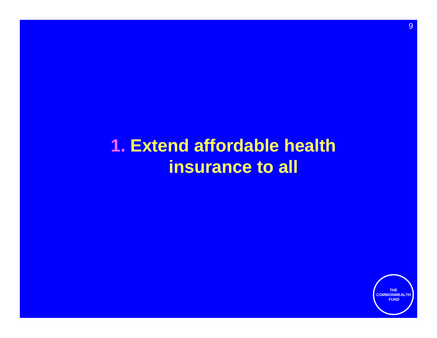## **1. Extend affordable health insurance to all**

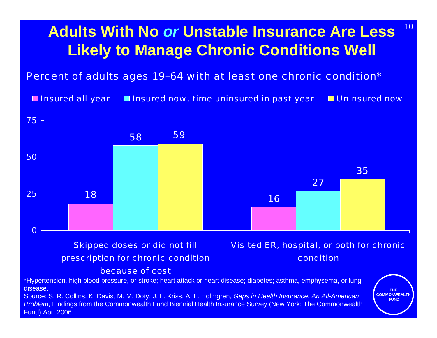## **Adults With No** *or* **Unstable Insurance Are Less Likely to Manage Chronic Conditions Well**

10

### Percent of adults ages 19–64 with at least one chronic condition\*

**Insured all year Insured now, time uninsured in past year In Uninsured now** 



Fund) Apr. 2006.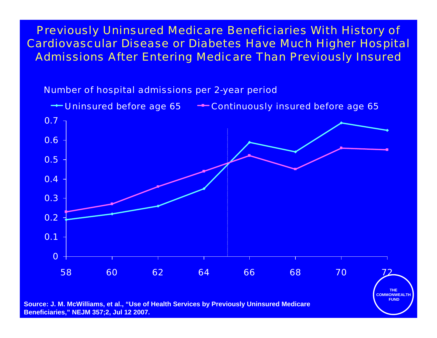Previously Uninsured Medicare Beneficiaries With History of Cardiovascular Disease or Diabetes Have Much Higher Hospital Admissions After Entering Medicare Than Previously Insured

Number of hospital admissions per 2-year period

← Uninsured before age 65 – Continuously insured before age 65



**Source: J. M. McWilliams, et al., "Use of Health Services by Previously Uninsured Medicare Beneficiaries," NEJM 357;2, Jul 12 2007.**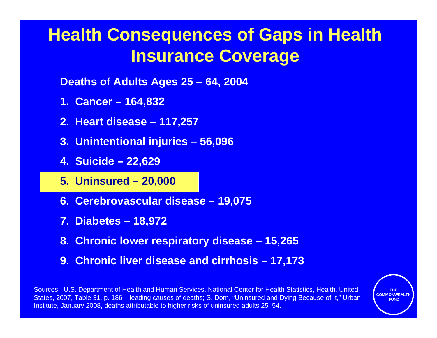## **Health Consequences of Gaps in Health Insurance Coverage**

**Deaths of Adults Ages 25 – 64, 2004**

- **1. Cancer 164,832**
- **2. Heart disease 117,257**
- **3. Unintentional injuries 56,096**
- **4. Suicide 22,629**
- **5. Uninsured 20,000**
- **6. Cerebrovascular disease 19,075**
- **7. Diabetes 18,972**
- **8. Chronic lower respiratory disease 15,265**
- **9. Chronic liver disease and cirrhosis 17,173**

Sources: U.S. Department of Health and Human Services, National Center for Health Statistics, Health, United States, 2007, Table 31, p. 186 – leading causes of deaths; S. Dorn, "Uninsured and Dying Because of It," Urban Institute, January 2008, deaths attributable to higher risks of uninsured adults 25-54.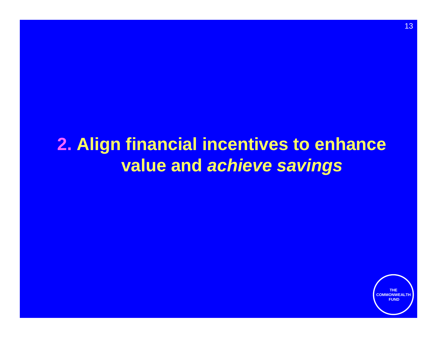## **2. Align financial incentives to enhance value and** *achieve savings*

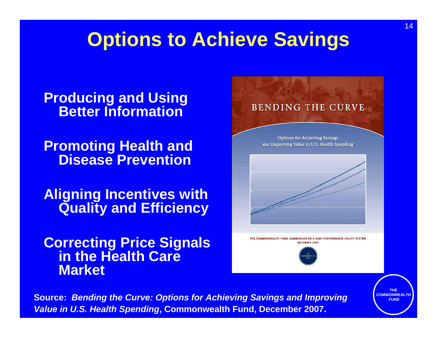# **Options to Achieve Savings**

### **Producing and Using Better Information**

**Promoting Health and Disease Prevention**

**Aligning Incentives with Quality and Efficiency**

**Correcting Price Signals in the Health Care Market**



**Source:** *Bending the Curve: Options for Achieving Savings and Improving Value in U.S. Health Spending***, Commonwealth Fund, December 2007.**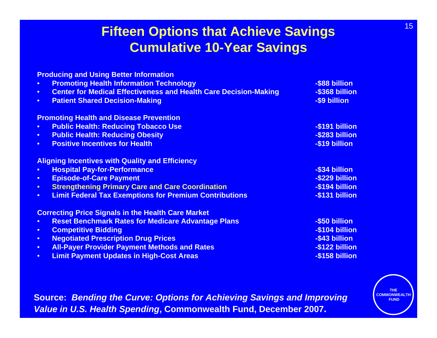### **Fifteen Options that Achieve Savings Cumulative 10-Year Savings**

|           | <b>Producing and Using Better Information</b>                           |                |
|-----------|-------------------------------------------------------------------------|----------------|
| $\bullet$ | <b>Promoting Health Information Technology</b>                          | -\$88 billion  |
| $\bullet$ | <b>Center for Medical Effectiveness and Health Care Decision-Making</b> | -\$368 billion |
| $\bullet$ | <b>Patient Shared Decision-Making</b>                                   | -\$9 billion   |
|           | <b>Promoting Health and Disease Prevention</b>                          |                |
| $\bullet$ | <b>Public Health: Reducing Tobacco Use</b>                              | -\$191 billion |
| $\bullet$ | <b>Public Health: Reducing Obesity</b>                                  | -\$283 billion |
| $\bullet$ | <b>Positive Incentives for Health</b>                                   | -\$19 billion  |
|           | <b>Aligning Incentives with Quality and Efficiency</b>                  |                |
| $\bullet$ | <b>Hospital Pay-for-Performance</b>                                     | -\$34 billion  |
| $\bullet$ | <b>Episode-of-Care Payment</b>                                          | -\$229 billion |
| $\bullet$ | <b>Strengthening Primary Care and Care Coordination</b>                 | -\$194 billion |
| $\bullet$ | <b>Limit Federal Tax Exemptions for Premium Contributions</b>           | -\$131 billion |
|           | <b>Correcting Price Signals in the Health Care Market</b>               |                |
| $\bullet$ | <b>Reset Benchmark Rates for Medicare Advantage Plans</b>               | -\$50 billion  |
| $\bullet$ | <b>Competitive Bidding</b>                                              | -\$104 billion |
| $\bullet$ | <b>Negotiated Prescription Drug Prices</b>                              | -\$43 billion  |
| $\bullet$ | <b>All-Payer Provider Payment Methods and Rates</b>                     | -\$122 billion |
| $\bullet$ | <b>Limit Payment Updates in High-Cost Areas</b>                         | -\$158 billion |
|           |                                                                         |                |

**Source:** *Bending the Curve: Options for Achieving Savings and Improving Value in U.S. Health Spending***, Commonwealth Fund, December 2007.**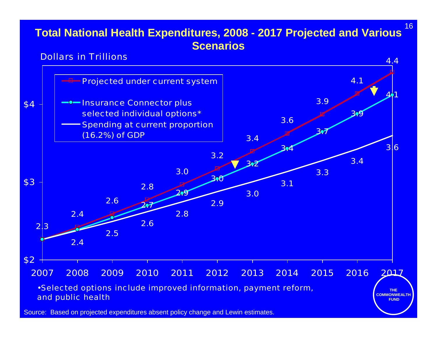### **Total National Health Expenditures, 2008 - 2017 Projected and Various Scenarios**



Source: Based on projected expenditures absent policy change and Lewin estimates.

16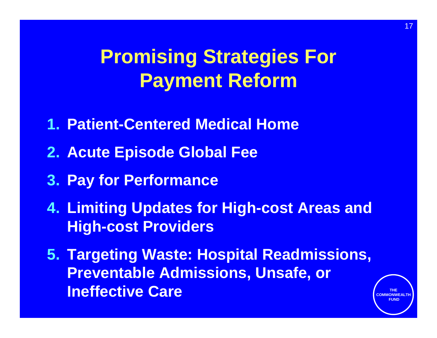# **Promising Strategies For Payment Reform**

- **1. Patient-Centered Medical Home**
- **2. Acute Episode Global Fee**
- **3. Pay for Performance**
- **4. Limiting Updates for High-cost Areas and High-cost Providers**
- **5. Targeting Waste: Hospital Readmissions, Preventable Admissions, Unsafe, or Ineffective Care**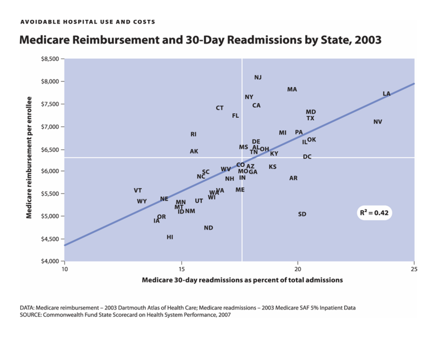#### AVOIDABLE HOSPITAL USE AND COSTS

### Medicare Reimbursement and 30-Day Readmissions by State, 2003



DATA: Medicare reimbursement - 2003 Dartmouth Atlas of Health Care; Medicare readmissions - 2003 Medicare SAF 5% Inpatient Data SOURCE: Commonwealth Fund State Scorecard on Health System Performance, 2007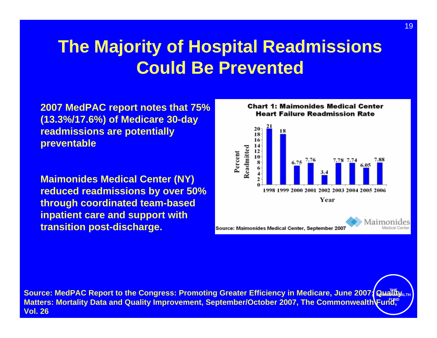## **The Majority of Hospital Readmissions Could Be Prevented**

**2007 MedPAC report notes that 75% (13.3%/17.6%) of Medicare 30-day readmissions are potentially preventable**

**Maimonides Medical Center (NY) reduced readmissions by over 50% through coordinated team-based inpatient care and support with transition post-discharge.**

**Chart 1: Maimonides Medical Center Heart Failure Readmission Rate** 



Source: MedPAC Report to the Congress: Promoting Greater Efficiency in Medicare, June 2007; Quai<sup>tt</sup>iy <sub>பா</sub> Matters: Mortality Data and Quality Improvement, September/October 2007, The Commonwealth**\**Fund, **Vol. 26**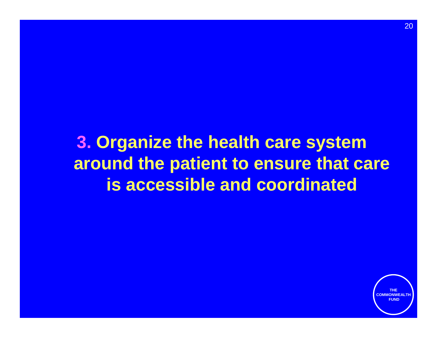**3. Organize the health care system around the patient to ensure that care is accessible and coordinated** 

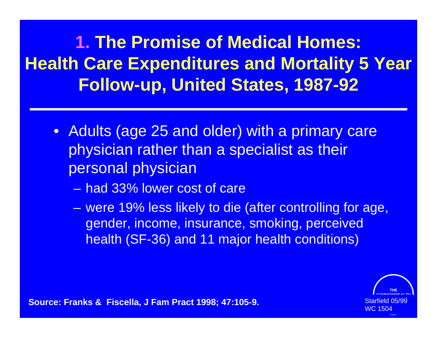**1. The Promise of Medical Homes: Health Care Expenditures and Mortality 5 Year Follow-up, United States, 1987-92**

- Adults (age 25 and older) with a primary care physician rather than a specialist as their personal physician
	- had 33% lower cost of care

– were 19% less likely to die (after controlling for age, gender, income, insurance, smoking, perceived health (SF-36) and 11 major health conditions)



**Source: Franks & Fiscella, J Fam Pract 1998; 47:105-9.** Starfield United Starfield 0<br>WC 1504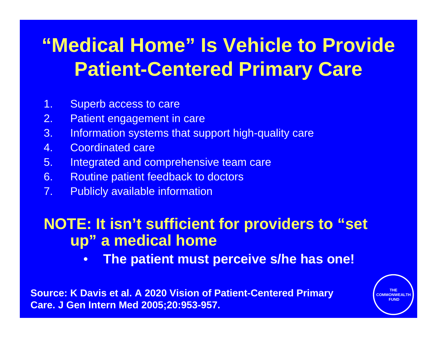# **"Medical Home" Is Vehicle to Provide Patient-Centered Primary Care**

- 1. Superb access to care
- 2. Patient engagement in care
- 3. Information systems that support high-quality care
- 4. Coordinated care
- 5. Integrated and comprehensive team care
- 6. Routine patient feedback to doctors
- 7. Publicly available information

### **NOTE: It isn't sufficient for providers to "set up" a medical home**

• **The patient must perceive s/he has one!**

**Source: K Davis et al. A 2020 Vision of Patient-Centered Primary Care. J Gen Intern Med 2005;20:953-957.**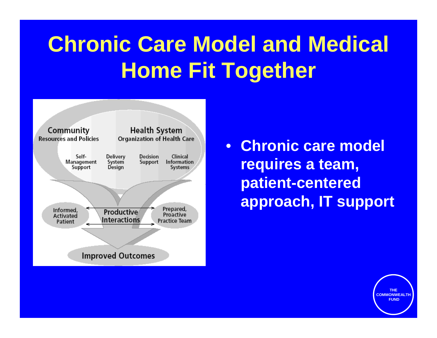# **Chronic Care Model and Medical Home Fit Together**



• **Chronic care model requires a team, patient-centered approach, IT support**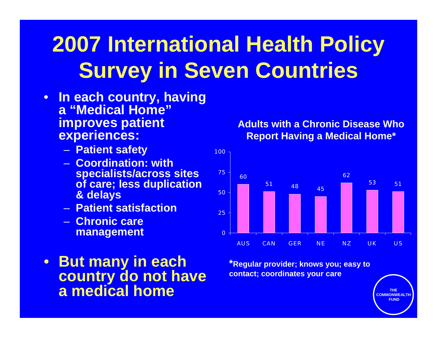# **2007 International Health Policy Survey in Seven Countries**

- **In each country, having a "Medical Home" improves patient experiences:**
	- **Patient safety**
	- **Coordination: with specialists/across sites of care; less duplication & delays**
	- **Patient satisfaction**
	- **Chronic care management**
- **But many in each country do not have a medical home**

**Adults with a Chronic Disease Who Report Having a Medical Home\***



**\*Regular provider; knows you; easy to contact; coordinates your care**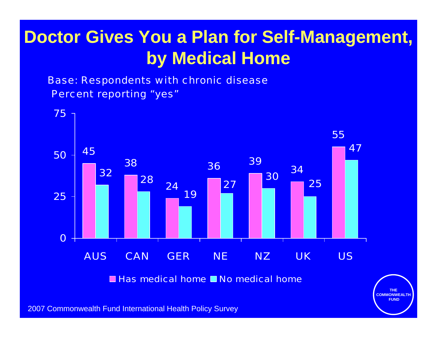## **Doctor Gives You a Plan for Self-Management, by Medical Home**

Percent reporting "yes" Base: Respondents with chronic disease



Has medical home **No medical home** 

**THE COMMONWEALTHFUND**

2007 Commonwealth Fund International Health Policy Survey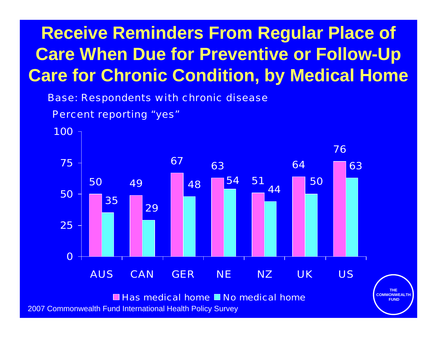## **Receive Reminders From Regular Place of Care When Due for Preventive or Follow-Up Care for Chronic Condition, by Medical Home**

Base: Respondents with chronic disease

Percent reporting "yes"



**THE** 

**FUND**

2007 Commonwealth Fund International Health Policy Survey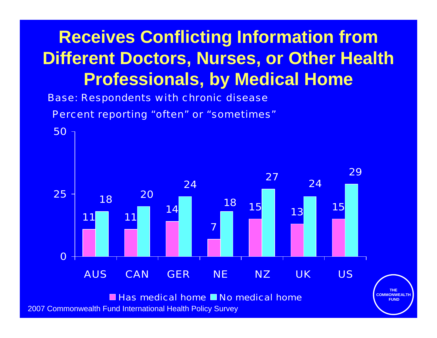## **Receives Conflicting Information from Different Doctors, Nurses, or Other Health Professionals, by Medical Home**

Base: Respondents with chronic disease

Percent reporting "often" or "sometimes"



2007 Commonwealth Fund International Health Policy Survey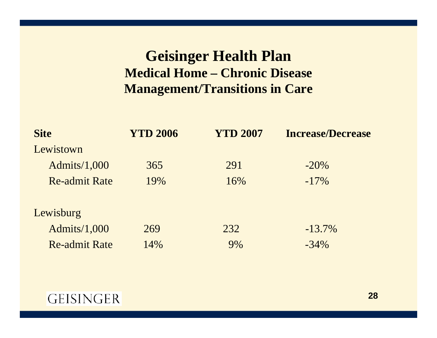### **Geisinger Health Plan Medical Home – Chronic Disease Management/Transitions in Care**

| <b>Site</b>          | <b>YTD 2006</b> | <b>YTD 2007</b> | <b>Increase/Decrease</b> |  |  |
|----------------------|-----------------|-----------------|--------------------------|--|--|
| Lewistown            |                 |                 |                          |  |  |
| Admits/1,000         | 365             | 291             | $-20\%$                  |  |  |
| <b>Re-admit Rate</b> | 19%             | 16%             | $-17\%$                  |  |  |
| Lewisburg            |                 |                 |                          |  |  |
| Admits/1,000         | 269             | 232             | $-13.7\%$                |  |  |
| <b>Re-admit Rate</b> | 14%             | 9%              | $-34\%$                  |  |  |

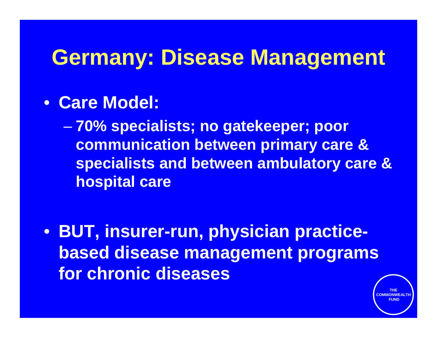# **Germany: Disease Management**

## • **Care Model:**

– **70% specialists; no gatekeeper; poor communication between primary care & specialists and between ambulatory care & hospital care**

• **BUT, insurer-run, physician practicebased disease management programs for chronic diseases**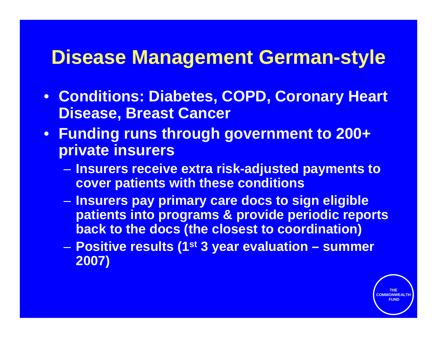## **Disease Management German-style**

- **Conditions: Diabetes, COPD, Coronary Heart Disease, Breast Cancer**
- **Funding runs through government to 200+ private insurers**
	- **Insurers receive extra risk-adjusted payments to cover patients with these conditions**
	- **Insurers pay primary care docs to sign eligible patients into programs & provide periodic reports back to the docs (the closest to coordination)**
	- **Positive results (1st 3 year evaluation summer 2007)**

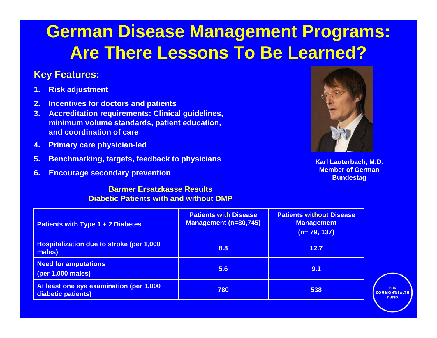## **German Disease Management Programs: Are There Lessons To Be Learned?**

### **Key Features:**

- **1. Risk adjustment**
- **2. Incentives for doctors and patients**
- **3. Accreditation req uirements: Clinical guidelines, minimum volume standards, patient education, and coordination of care**
- **4. Primary care physician-led**
- **5. Benchmarking, targets, feedback to physicians**
- **6. Encourage secondary prevention**

#### **Barmer Ersatzkasse Results Diabetic Patients with and without DMP**



**Karl Lauterbach, M.D. Member of German Bundestag**

| <b>Patients with Type 1 + 2 Diabetes</b>                      | <b>Patients with Disease</b><br><b>Management (n=80,745)</b> | <b>Patients without Disease</b><br><b>Management</b><br>$(n=79, 137)$ |
|---------------------------------------------------------------|--------------------------------------------------------------|-----------------------------------------------------------------------|
| Hospitalization due to stroke (per 1,000<br>males)            | 8.8                                                          | 12.7                                                                  |
| <b>Need for amputations</b><br>(per 1,000 males)              | 5.6                                                          | 9.1                                                                   |
| At least one eye examination (per 1,000<br>diabetic patients) | 780                                                          | 538                                                                   |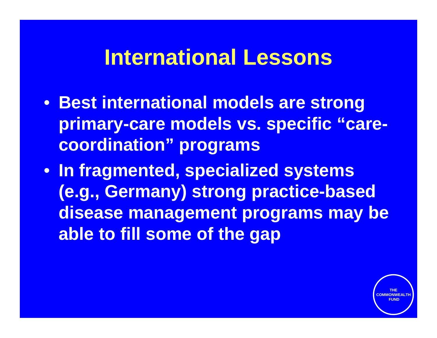## **International Lessons**

- **Best international models are strong primary-care models vs. specific "carecoordination" programs**
- **In fragmented, specialized systems (e.g., Germany) strong practice-based disease management programs may be able to fill some of the gap**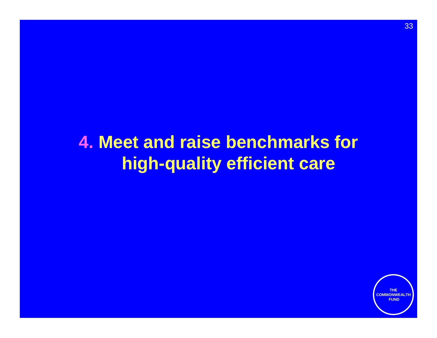## **4. Meet and raise benchmarks for high-quality efficient care**

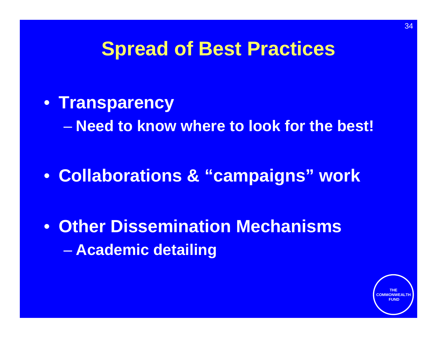## **Spread of Best Practices**

• **Transparency**

– **Need to know where to look for the best!**

• **Collaborations & "campaigns" work**

• **Other Dissemination Mechanisms** – **Academic detailing** 

34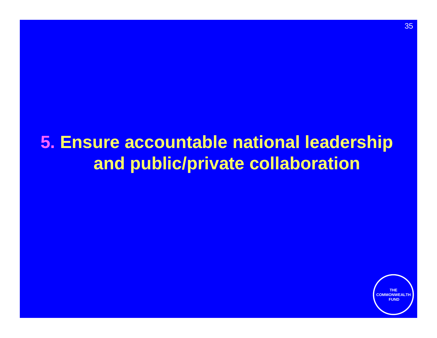## **5. Ensure accountable national leadership and public/private collaboration**

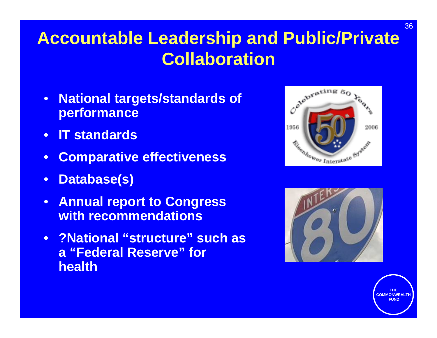## **Accountable Leadership and Public/Private Collaboration**

- **National targets/standards of performance**
- **IT standards**
- **Comparative effectiveness**
- **Database(s)**
- **Annual report to Congress with recommendations**
- **?National "structure" such as a "Federal Reserve" for health**



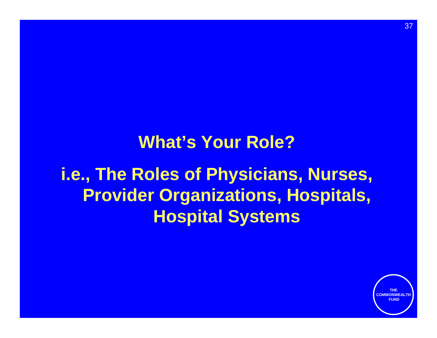# **What's Your Role?i.e., The Roles of Physicians, Nurses, Provider Organizations, Hospitals, Hospital Systems**

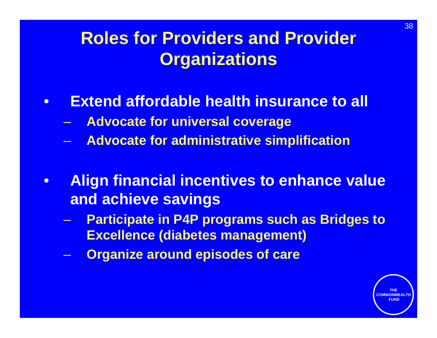## **Roles for Providers and Provider Organizations**

- **Extend affordable health insurance to all**
	- **Advocate for universal coverage**
	- **Advocate for administrative simplification**
- **Align financial incentives to enhance value and achieve savings**
	- **Participate in P4P programs such as Bridges to Excellence (diabetes management)**
	- **Organize around episodes of care**

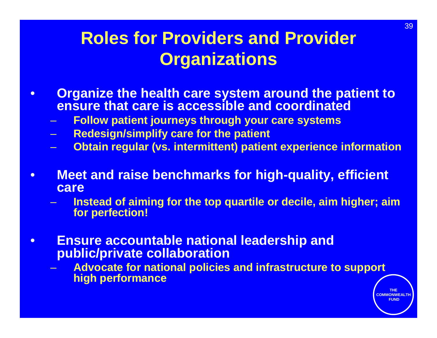## **Roles for Providers and Provider Organizations**

- **Organize the health care system around the patient to ensure that care is accessible and coordinated**
	- **Follow patient journeys through your care systems**
	- **Redesign/simplify care for the patient**
	- **Obtain regular (vs. intermittent) patient experience information**
- **Meet and raise benchmarks for high-quality, efficient care**
	- **Instead of aiming for the top quartile or decile, aim higher; aim for perfection!**
- **Ensure accountable national leadership and public/private collaboration**
	- **Advocate for national policies and infrastructure to support high performance**

39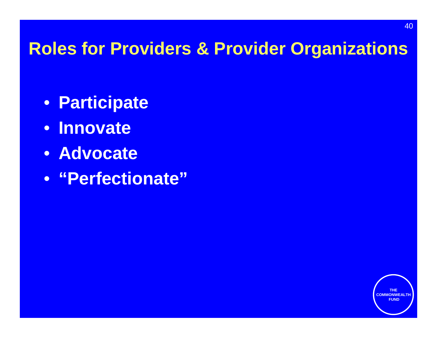## **Roles for Providers & Provider Organizations**

- **Participate**
- **Innovate**
- **Advocate**
- **"Perfectionate"**



40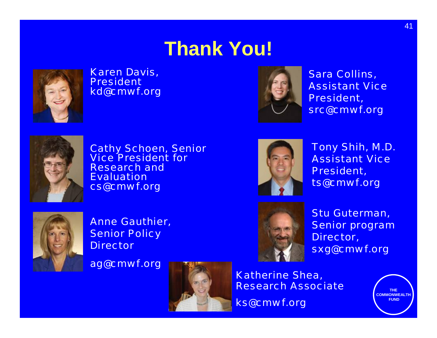# **Thank You!**



### Karen Davis, Presidentkd@cmwf.org



Sara Collins, Assistant Vice President, src@cmwf.org



Cathy Schoen, Senior Vice President for Research and **Evaluation** cs@cmwf.org



Anne Gauthier, **Senior Policy Director** 

ag@cmwf.org





Tony Shih, M.D. Assistant Vice President, ts@cmwf.org



Stu Guterman, Senior program Director, sxg@cmwf.org

Katherine Shea, Research Associate

ks@cmwf.org